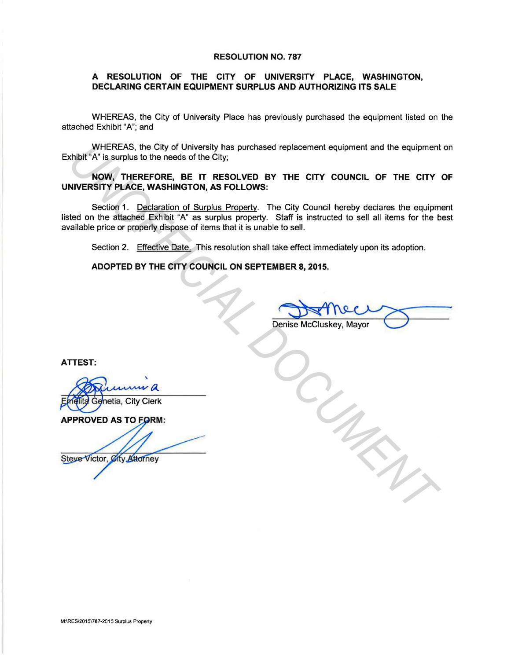## RESOLUTION NO. 787

## A RESOLUTION OF THE CITY OF UNIVERSITY PLACE, WASHINGTON, DECLARING CERTAIN EQUIPMENT SURPLUS AND AUTHORIZING ITS SALE

WHEREAS, the City of University Place has previously purchased the equipment listed on the attached Exhibit "A"; and

WHEREAS, the City of University has purchased replacement equipment and the equipment on Exhibit "A" is surplus to the needs of the City;

NOW, THEREFORE, BE IT RESOLVED BY THE CITY COUNCIL OF THE CITY OF UNIVERSITY PLACE, WASHINGTON, AS FOLLOWS:

Section 1. Declaration of Surplus Property. The City Council hereby declares the equipment listed on the attached Exhibit "A" as surplus property. Staff is instructed to sell all items for the best available price or properly dispose of items that it is unable to sell. WHEREAS, the City of University has purchased replacement equipment and the equipment<br> **NOW, THEREFORE, BE IT RESOLVED BY THE CITY COUNCIL OF THE CITY**<br> **NOW, THEREFORE, BE IT RESOLVED BY THE CITY COUNCIL OF THE CITY**<br> **NI** 

Section 2. Effective Date. This resolution shall take effect immediately upon its adoption.

ADOPTED BY THE CITY COUNCIL ON SEPTEMBER 8, 2015.

le to sell.<br>take effect immediately upon its adoption.<br>MBER 8, 2015.<br>Denise McCluskey, Mayor

ATTEST: